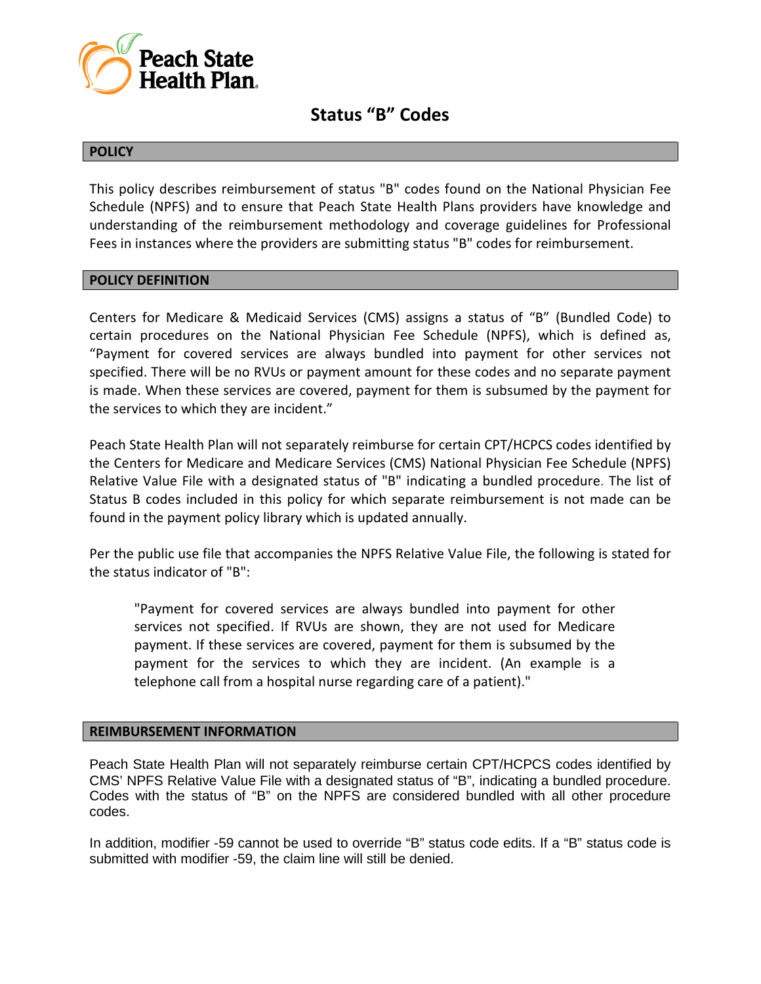

## **Status "B" Codes**

### **POLICY**

This policy describes reimbursement of status "B" codes found on the National Physician Fee Schedule (NPFS) and to ensure that Peach State Health Plans providers have knowledge and understanding of the reimbursement methodology and coverage guidelines for Professional Fees in instances where the providers are submitting status "B" codes for reimbursement.

#### **POLICY DEFINITION**

Centers for Medicare & Medicaid Services (CMS) assigns a status of "B" (Bundled Code) to certain procedures on the National Physician Fee Schedule (NPFS), which is defined as, "Payment for covered services are always bundled into payment for other services not specified. There will be no RVUs or payment amount for these codes and no separate payment is made. When these services are covered, payment for them is subsumed by the payment for the services to which they are incident."

Peach State Health Plan will not separately reimburse for certain CPT/HCPCS codes identified by the Centers for Medicare and Medicare Services (CMS) National Physician Fee Schedule (NPFS) Relative Value File with a designated status of "B" indicating a bundled procedure. The list of Status B codes included in this policy for which separate reimbursement is not made can be found in the payment policy library which is updated annually.

Per the public use file that accompanies the NPFS Relative Value File, the following is stated for the status indicator of "B":

"Payment for covered services are always bundled into payment for other services not specified. If RVUs are shown, they are not used for Medicare payment. If these services are covered, payment for them is subsumed by the payment for the services to which they are incident. (An example is a telephone call from a hospital nurse regarding care of a patient)."

#### **REIMBURSEMENT INFORMATION**

Peach State Health Plan will not separately reimburse certain CPT/HCPCS codes identified by CMS' NPFS Relative Value File with a designated status of "B", indicating a bundled procedure. Codes with the status of "B" on the NPFS are considered bundled with all other procedure codes.

In addition, modifier -59 cannot be used to override "B" status code edits. If a "B" status code is submitted with modifier -59, the claim line will still be denied.